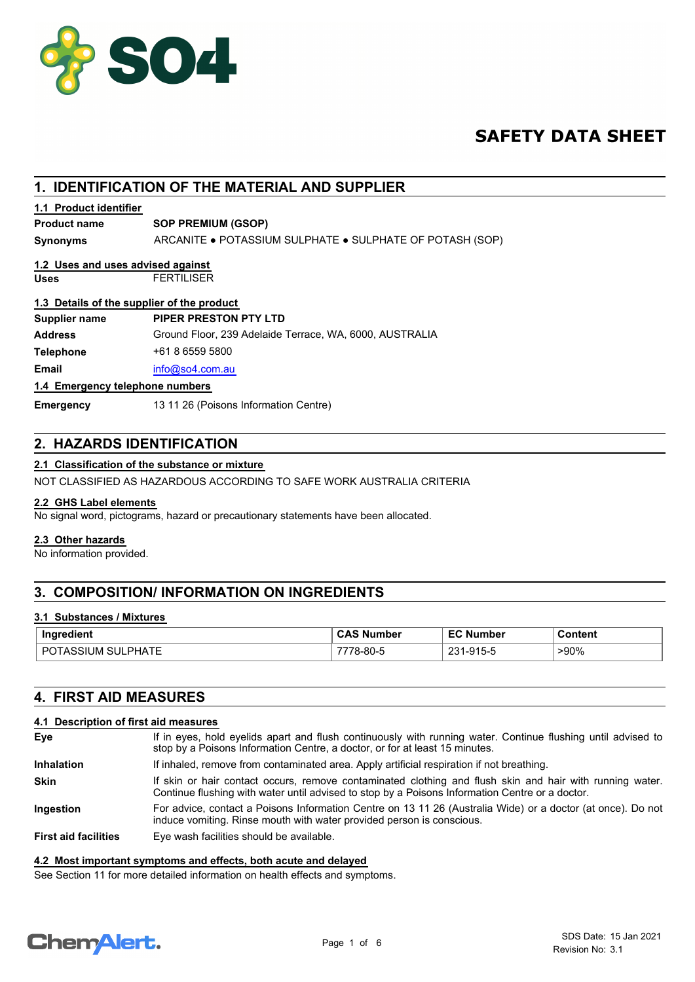

# **SAFETY DATA SHEET**

## **1. IDENTIFICATION OF THE MATERIAL AND SUPPLIER**

## **1.1 Product identifier**

## **Product name SOP PREMIUM (GSOP)**

**Synonyms** ARCANITE ● POTASSIUM SULPHATE ● SULPHATE OF POTASH (SOP)

# **1.2 Uses and uses advised against**

**Uses** FERTILISER

# **1.3 Details of the supplier of the product**

| Supplier name                   | PIPER PRESTON PTY LTD                                   |
|---------------------------------|---------------------------------------------------------|
| Address                         | Ground Floor, 239 Adelaide Terrace, WA, 6000, AUSTRALIA |
| Telephone                       | +61 8 6559 5800                                         |
| Email                           | info@so4.com.au                                         |
| 1.4 Emergency telephone numbers |                                                         |

### **Emergency telephone numbers**

**Emergency** 13 11 26 (Poisons Information Centre)

## **2. HAZARDS IDENTIFICATION**

## **2.1 Classification of the substance or mixture**

NOT CLASSIFIED AS HAZARDOUS ACCORDING TO SAFE WORK AUSTRALIA CRITERIA

## **2.2 GHS Label elements**

No signal word, pictograms, hazard or precautionary statements have been allocated.

### **2.3 Other hazards**

No information provided.

## **3. COMPOSITION/ INFORMATION ON INGREDIENTS**

## **3.1 Substances / Mixtures**

| Ingredient                  | <b>CAS Number</b> | EC<br><b>Number</b> | Content |
|-----------------------------|-------------------|---------------------|---------|
| SULPHATE<br>DC<br>്∪⊺ASSIUM | 78-80-5           | 024<br>1-915-5      | $>90\%$ |

## **4. FIRST AID MEASURES**

## **4.1 Description of first aid measures**

| Eye                         | If in eyes, hold eyelids apart and flush continuously with running water. Continue flushing until advised to<br>stop by a Poisons Information Centre, a doctor, or for at least 15 minutes.                 |
|-----------------------------|-------------------------------------------------------------------------------------------------------------------------------------------------------------------------------------------------------------|
| <b>Inhalation</b>           | If inhaled, remove from contaminated area. Apply artificial respiration if not breathing.                                                                                                                   |
| <b>Skin</b>                 | If skin or hair contact occurs, remove contaminated clothing and flush skin and hair with running water.<br>Continue flushing with water until advised to stop by a Poisons Information Centre or a doctor. |
| <b>Ingestion</b>            | For advice, contact a Poisons Information Centre on 13 11 26 (Australia Wide) or a doctor (at once). Do not<br>induce vomiting. Rinse mouth with water provided person is conscious.                        |
| <b>First aid facilities</b> | Eye wash facilities should be available.                                                                                                                                                                    |

### **4.2 Most important symptoms and effects, both acute and delayed**

See Section 11 for more detailed information on health effects and symptoms.

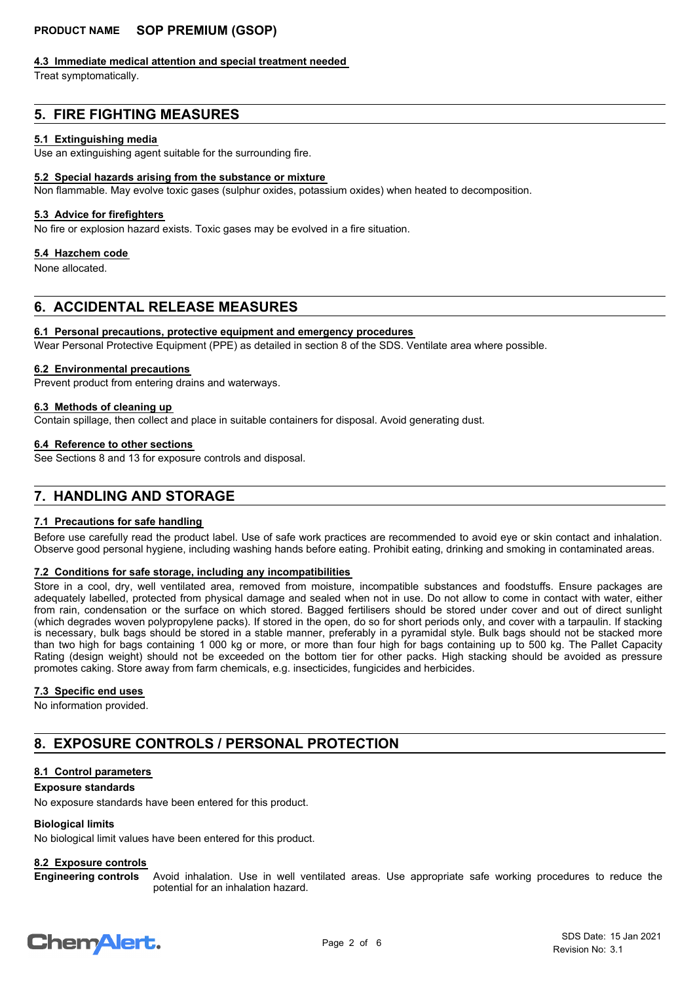### **4.3 Immediate medical attention and special treatment needed**

Treat symptomatically.

## **5. FIRE FIGHTING MEASURES**

### **5.1 Extinguishing media**

Use an extinguishing agent suitable for the surrounding fire.

### **5.2 Special hazards arising from the substance or mixture**

Non flammable. May evolve toxic gases (sulphur oxides, potassium oxides) when heated to decomposition.

### **5.3 Advice for firefighters**

No fire or explosion hazard exists. Toxic gases may be evolved in a fire situation.

#### **5.4 Hazchem code**

None allocated.

## **6. ACCIDENTAL RELEASE MEASURES**

### **6.1 Personal precautions, protective equipment and emergency procedures**

Wear Personal Protective Equipment (PPE) as detailed in section 8 of the SDS. Ventilate area where possible.

#### **6.2 Environmental precautions**

Prevent product from entering drains and waterways.

# **6.3 Methods of cleaning up**

Contain spillage, then collect and place in suitable containers for disposal. Avoid generating dust.

### **6.4 Reference to other sections**

See Sections 8 and 13 for exposure controls and disposal.

## **7. HANDLING AND STORAGE**

### **7.1 Precautions for safe handling**

Before use carefully read the product label. Use of safe work practices are recommended to avoid eye or skin contact and inhalation. Observe good personal hygiene, including washing hands before eating. Prohibit eating, drinking and smoking in contaminated areas.

## **7.2 Conditions for safe storage, including any incompatibilities**

Store in a cool, dry, well ventilated area, removed from moisture, incompatible substances and foodstuffs. Ensure packages are adequately labelled, protected from physical damage and sealed when not in use. Do not allow to come in contact with water, either from rain, condensation or the surface on which stored. Bagged fertilisers should be stored under cover and out of direct sunlight (which degrades woven polypropylene packs). If stored in the open, do so for short periods only, and cover with a tarpaulin. If stacking is necessary, bulk bags should be stored in a stable manner, preferably in a pyramidal style. Bulk bags should not be stacked more than two high for bags containing 1 000 kg or more, or more than four high for bags containing up to 500 kg. The Pallet Capacity Rating (design weight) should not be exceeded on the bottom tier for other packs. High stacking should be avoided as pressure promotes caking. Store away from farm chemicals, e.g. insecticides, fungicides and herbicides.

### **7.3 Specific end uses**

No information provided.

## **8. EXPOSURE CONTROLS / PERSONAL PROTECTION**

## **8.1 Control parameters**

### **Exposure standards**

No exposure standards have been entered for this product.

### **Biological limits**

No biological limit values have been entered for this product.

## **8.2 Exposure controls**

Avoid inhalation. Use in well ventilated areas. Use appropriate safe working procedures to reduce the potential for an inhalation hazard. **Engineering controls**

# **ChemAlert.**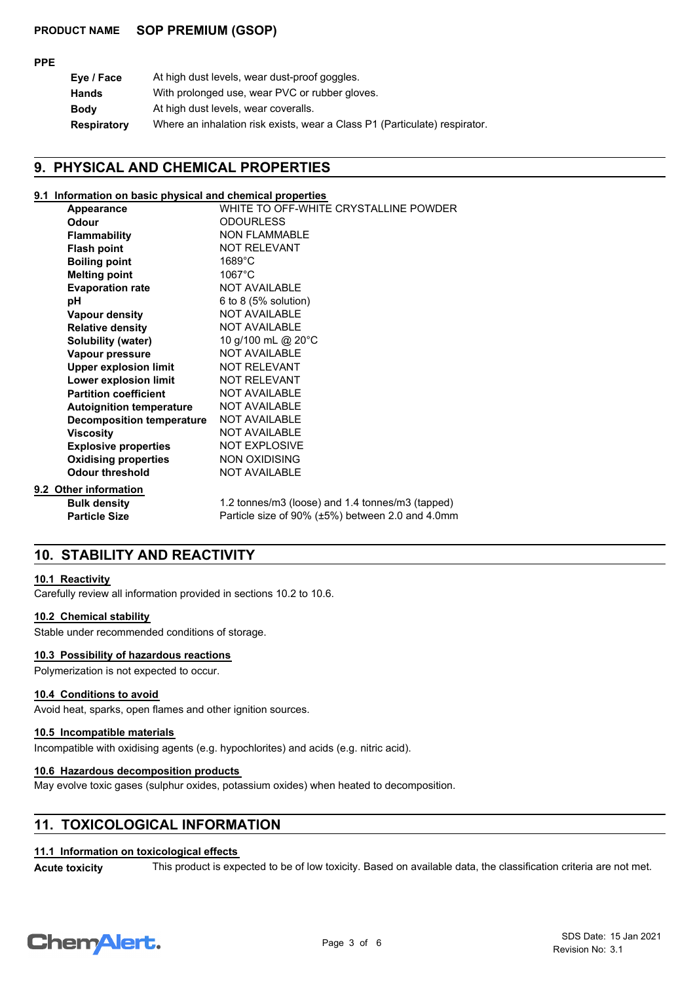| ۰.<br>۰. |
|----------|
|----------|

| Eye / Face  | At high dust levels, wear dust-proof goggles.                              |
|-------------|----------------------------------------------------------------------------|
| Hands       | With prolonged use, wear PVC or rubber gloves.                             |
| Bodv        | At high dust levels, wear coveralls.                                       |
| Respiratory | Where an inhalation risk exists, wear a Class P1 (Particulate) respirator. |
|             |                                                                            |

## **9. PHYSICAL AND CHEMICAL PROPERTIES**

### **9.1 Information on basic physical and chemical properties**

| Appearance                       | WHITE TO OFF-WHITE CRYSTALLINE POWDER            |
|----------------------------------|--------------------------------------------------|
| Odour                            | <b>ODOURLESS</b>                                 |
| <b>Flammability</b>              | <b>NON FLAMMABLE</b>                             |
| <b>Flash point</b>               | <b>NOT RELEVANT</b>                              |
| <b>Boiling point</b>             | $1689^{\circ}$ C                                 |
| <b>Melting point</b>             | $1067^{\circ}$ C                                 |
| <b>Evaporation rate</b>          | <b>NOT AVAILABLE</b>                             |
| рH                               | 6 to 8 $(5%$ solution)                           |
| Vapour density                   | <b>NOT AVAILABLE</b>                             |
| <b>Relative density</b>          | <b>NOT AVAILABLE</b>                             |
| <b>Solubility (water)</b>        | 10 g/100 mL @ 20°C                               |
| Vapour pressure                  | NOT AVAILABLE                                    |
| <b>Upper explosion limit</b>     | <b>NOT RELEVANT</b>                              |
| Lower explosion limit            | <b>NOT RELEVANT</b>                              |
| <b>Partition coefficient</b>     | <b>NOT AVAILABLE</b>                             |
| <b>Autoignition temperature</b>  | <b>NOT AVAILABLE</b>                             |
| <b>Decomposition temperature</b> | <b>NOT AVAILABLE</b>                             |
| <b>Viscosity</b>                 | <b>NOT AVAILABLE</b>                             |
| <b>Explosive properties</b>      | <b>NOT EXPLOSIVE</b>                             |
| <b>Oxidising properties</b>      | <b>NON OXIDISING</b>                             |
| <b>Odour threshold</b>           | <b>NOT AVAILABLE</b>                             |
| 9.2 Other information            |                                                  |
| <b>Bulk density</b>              | 1.2 tonnes/m3 (loose) and 1.4 tonnes/m3 (tapped) |
| <b>Particle Size</b>             | Particle size of 90% (±5%) between 2.0 and 4.0mm |

## **10. STABILITY AND REACTIVITY**

### **10.1 Reactivity**

Carefully review all information provided in sections 10.2 to 10.6.

### **10.2 Chemical stability**

Stable under recommended conditions of storage.

## **10.3 Possibility of hazardous reactions**

Polymerization is not expected to occur.

## **10.4 Conditions to avoid**

Avoid heat, sparks, open flames and other ignition sources.

## **10.5 Incompatible materials**

Incompatible with oxidising agents (e.g. hypochlorites) and acids (e.g. nitric acid).

## **10.6 Hazardous decomposition products**

May evolve toxic gases (sulphur oxides, potassium oxides) when heated to decomposition.

## **11. TOXICOLOGICAL INFORMATION**

## **11.1 Information on toxicological effects**

Acute toxicity This product is expected to be of low toxicity. Based on available data, the classification criteria are not met.

# **ChemAlert.**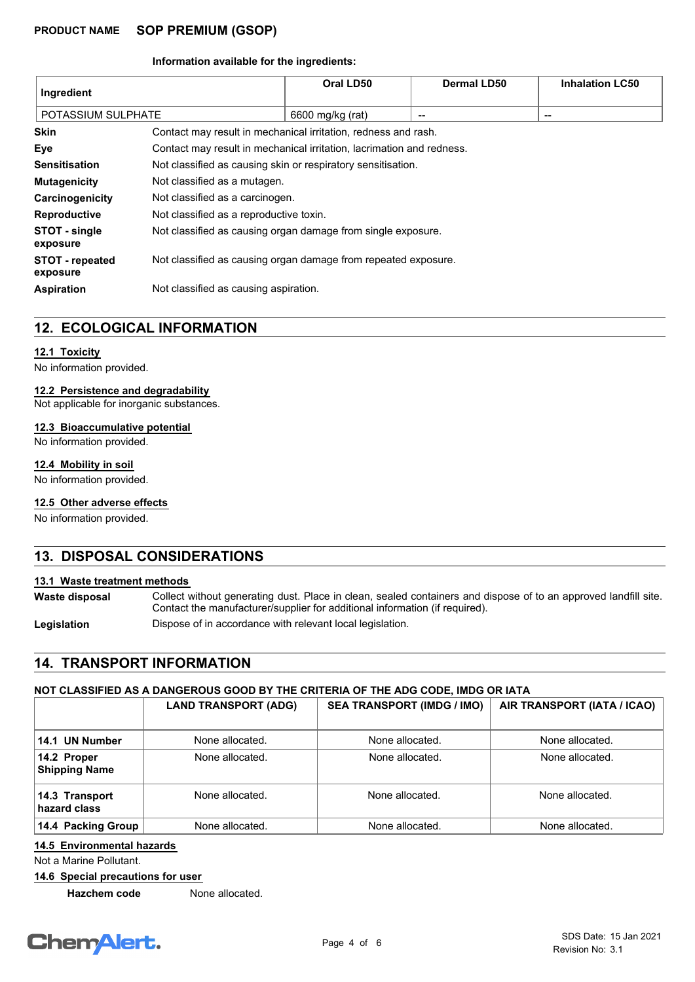### **Information available for the ingredients:**

| Ingredient                         |                                                                       | Oral LD50        | <b>Dermal LD50</b> | <b>Inhalation LC50</b> |
|------------------------------------|-----------------------------------------------------------------------|------------------|--------------------|------------------------|
| POTASSIUM SULPHATE                 |                                                                       | 6600 mg/kg (rat) | $- -$              | $\qquad \qquad$        |
| <b>Skin</b>                        | Contact may result in mechanical irritation, redness and rash.        |                  |                    |                        |
| Eye                                | Contact may result in mechanical irritation, lacrimation and redness. |                  |                    |                        |
| <b>Sensitisation</b>               | Not classified as causing skin or respiratory sensitisation.          |                  |                    |                        |
| <b>Mutagenicity</b>                | Not classified as a mutagen.                                          |                  |                    |                        |
| Carcinogenicity                    | Not classified as a carcinogen.                                       |                  |                    |                        |
| Reproductive                       | Not classified as a reproductive toxin.                               |                  |                    |                        |
| STOT - single<br>exposure          | Not classified as causing organ damage from single exposure.          |                  |                    |                        |
| <b>STOT - repeated</b><br>exposure | Not classified as causing organ damage from repeated exposure.        |                  |                    |                        |
| <b>Aspiration</b>                  | Not classified as causing aspiration.                                 |                  |                    |                        |

## **12. ECOLOGICAL INFORMATION**

### **12.1 Toxicity**

No information provided.

## **12.2 Persistence and degradability**

Not applicable for inorganic substances.

### **12.3 Bioaccumulative potential**

No information provided.

## **12.4 Mobility in soil**

No information provided.

## **12.5 Other adverse effects**

No information provided.

## **13. DISPOSAL CONSIDERATIONS**

## **13.1 Waste treatment methods**

Collect without generating dust. Place in clean, sealed containers and dispose of to an approved landfill site. Contact the manufacturer/supplier for additional information (if required). **Waste disposal**

Legislation **Dispose of in accordance with relevant local legislation.** 

## **14. TRANSPORT INFORMATION**

## **NOT CLASSIFIED AS A DANGEROUS GOOD BY THE CRITERIA OF THE ADG CODE, IMDG OR IATA**

|                                     | <b>LAND TRANSPORT (ADG)</b> | <b>SEA TRANSPORT (IMDG / IMO)</b> | AIR TRANSPORT (IATA / ICAO) |
|-------------------------------------|-----------------------------|-----------------------------------|-----------------------------|
| 14.1 UN Number                      | None allocated.             | None allocated.                   | None allocated.             |
| 14.2 Proper<br><b>Shipping Name</b> | None allocated.             | None allocated.                   | None allocated.             |
| 14.3 Transport<br>hazard class      | None allocated.             | None allocated.                   | None allocated.             |
| 14.4 Packing Group                  | None allocated.             | None allocated.                   | None allocated.             |

## **14.5 Environmental hazards**

Not a Marine Pollutant.

**14.6 Special precautions for user**

**Hazchem code** None allocated.

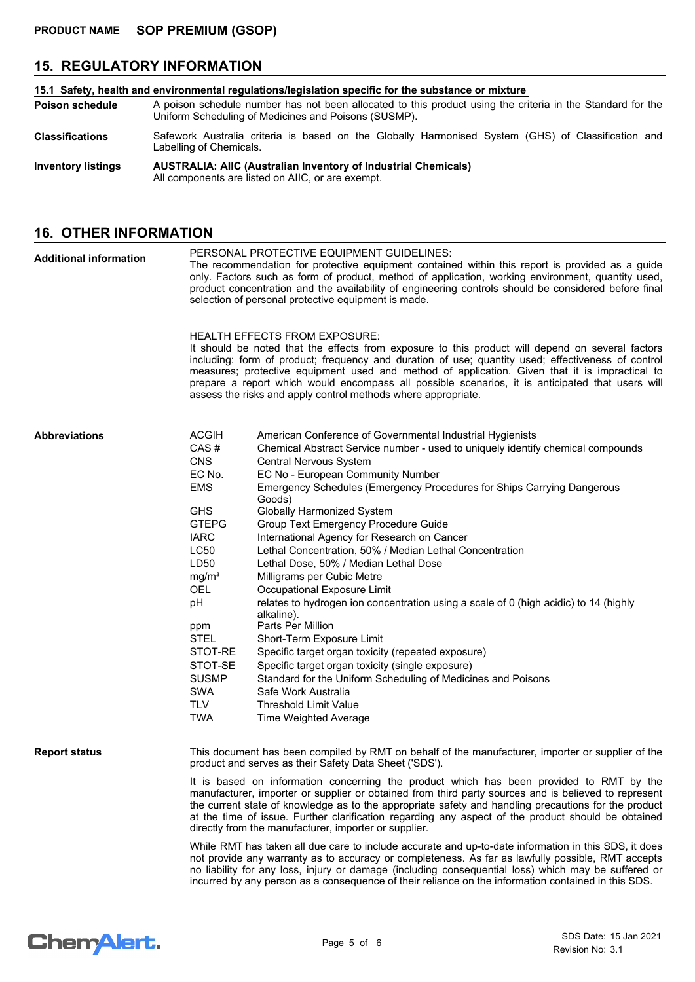# **15. REGULATORY INFORMATION**

| 15.1 Safety, health and environmental regulations/legislation specific for the substance or mixture |                                                                                                                                                                    |  |  |
|-----------------------------------------------------------------------------------------------------|--------------------------------------------------------------------------------------------------------------------------------------------------------------------|--|--|
| <b>Poison schedule</b>                                                                              | A poison schedule number has not been allocated to this product using the criteria in the Standard for the<br>Uniform Scheduling of Medicines and Poisons (SUSMP). |  |  |
| <b>Classifications</b>                                                                              | Safework Australia criteria is based on the Globally Harmonised System (GHS) of Classification and<br>Labelling of Chemicals.                                      |  |  |
| <b>Inventory listings</b>                                                                           | <b>AUSTRALIA: AIIC (Australian Inventory of Industrial Chemicals)</b><br>All components are listed on AIIC, or are exempt.                                         |  |  |

# **16. OTHER INFORMATION**

| <b>Additional information</b> | PERSONAL PROTECTIVE EQUIPMENT GUIDELINES:<br>The recommendation for protective equipment contained within this report is provided as a guide<br>only. Factors such as form of product, method of application, working environment, quantity used,<br>product concentration and the availability of engineering controls should be considered before final<br>selection of personal protective equipment is made. |                                                                                                                                                                                                                                                                                                                                                                                                                                                                                                                                                                                                                                                                                                                                                                                                                                                                                                                                                                                                                                                                  |  |  |
|-------------------------------|------------------------------------------------------------------------------------------------------------------------------------------------------------------------------------------------------------------------------------------------------------------------------------------------------------------------------------------------------------------------------------------------------------------|------------------------------------------------------------------------------------------------------------------------------------------------------------------------------------------------------------------------------------------------------------------------------------------------------------------------------------------------------------------------------------------------------------------------------------------------------------------------------------------------------------------------------------------------------------------------------------------------------------------------------------------------------------------------------------------------------------------------------------------------------------------------------------------------------------------------------------------------------------------------------------------------------------------------------------------------------------------------------------------------------------------------------------------------------------------|--|--|
|                               |                                                                                                                                                                                                                                                                                                                                                                                                                  | <b>HEALTH EFFECTS FROM EXPOSURE:</b><br>It should be noted that the effects from exposure to this product will depend on several factors<br>including: form of product; frequency and duration of use; quantity used; effectiveness of control<br>measures; protective equipment used and method of application. Given that it is impractical to<br>prepare a report which would encompass all possible scenarios, it is anticipated that users will<br>assess the risks and apply control methods where appropriate.                                                                                                                                                                                                                                                                                                                                                                                                                                                                                                                                            |  |  |
| <b>Abbreviations</b>          | <b>ACGIH</b><br>CAS#<br><b>CNS</b><br>EC No.<br><b>EMS</b><br><b>GHS</b><br><b>GTEPG</b><br><b>IARC</b><br>LC50<br>LD50<br>mg/m <sup>3</sup><br><b>OEL</b><br>pH<br>ppm<br><b>STEL</b><br>STOT-RE<br>STOT-SE<br><b>SUSMP</b><br>SWA<br><b>TLV</b><br><b>TWA</b>                                                                                                                                                  | American Conference of Governmental Industrial Hygienists<br>Chemical Abstract Service number - used to uniquely identify chemical compounds<br>Central Nervous System<br>EC No - European Community Number<br>Emergency Schedules (Emergency Procedures for Ships Carrying Dangerous<br>Goods)<br><b>Globally Harmonized System</b><br>Group Text Emergency Procedure Guide<br>International Agency for Research on Cancer<br>Lethal Concentration, 50% / Median Lethal Concentration<br>Lethal Dose, 50% / Median Lethal Dose<br>Milligrams per Cubic Metre<br>Occupational Exposure Limit<br>relates to hydrogen ion concentration using a scale of 0 (high acidic) to 14 (highly<br>alkaline).<br>Parts Per Million<br>Short-Term Exposure Limit<br>Specific target organ toxicity (repeated exposure)<br>Specific target organ toxicity (single exposure)<br>Standard for the Uniform Scheduling of Medicines and Poisons<br>Safe Work Australia<br><b>Threshold Limit Value</b><br>Time Weighted Average                                                   |  |  |
| <b>Report status</b>          |                                                                                                                                                                                                                                                                                                                                                                                                                  | This document has been compiled by RMT on behalf of the manufacturer, importer or supplier of the<br>product and serves as their Safety Data Sheet ('SDS').<br>It is based on information concerning the product which has been provided to RMT by the<br>manufacturer, importer or supplier or obtained from third party sources and is believed to represent<br>the current state of knowledge as to the appropriate safety and handling precautions for the product<br>at the time of issue. Further clarification regarding any aspect of the product should be obtained<br>directly from the manufacturer, importer or supplier.<br>While RMT has taken all due care to include accurate and up-to-date information in this SDS, it does<br>not provide any warranty as to accuracy or completeness. As far as lawfully possible, RMT accepts<br>no liability for any loss, injury or damage (including consequential loss) which may be suffered or<br>incurred by any person as a consequence of their reliance on the information contained in this SDS. |  |  |

# **Chemalert.**